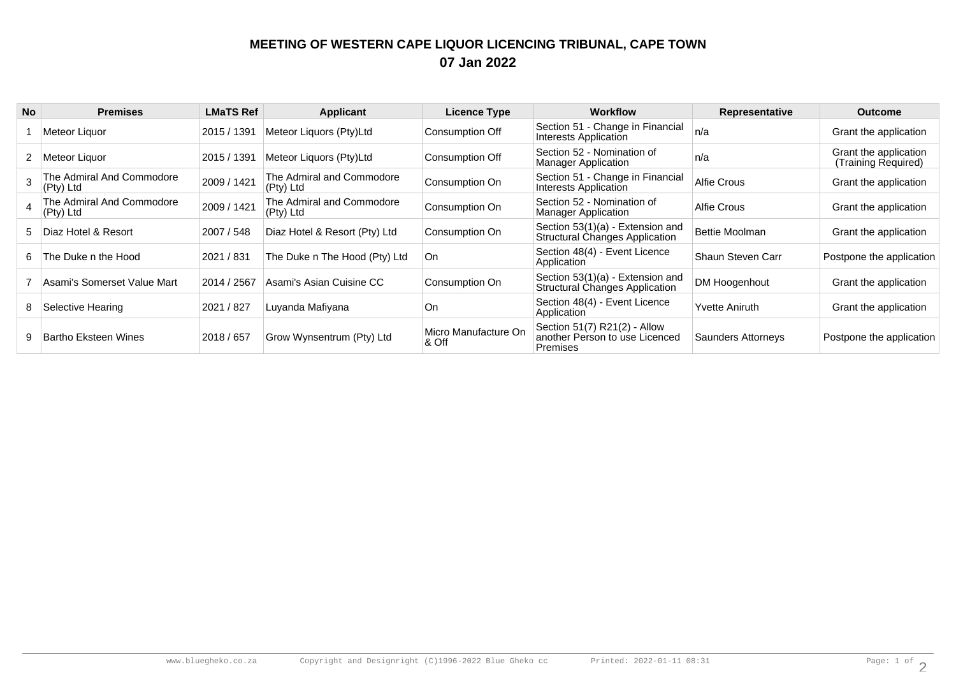## **MEETING OF WESTERN CAPE LIQUOR LICENCING TRIBUNAL, CAPE TOWN07 Jan 2022**

| <b>No</b> | <b>Premises</b>                        | <b>LMaTS Ref</b> | Applicant                              | <b>Licence Type</b>           | <b>Workflow</b>                                                                   | Representative        | <b>Outcome</b>                               |
|-----------|----------------------------------------|------------------|----------------------------------------|-------------------------------|-----------------------------------------------------------------------------------|-----------------------|----------------------------------------------|
|           | Meteor Liquor                          | 2015 / 1391      | Meteor Liquors (Pty)Ltd                | <b>Consumption Off</b>        | Section 51 - Change in Financial<br>Interests Application                         | n/a                   | Grant the application                        |
|           | ∣Meteor Liquor                         | 2015 / 1391      | Meteor Liquors (Pty)Ltd                | Consumption Off               | Section 52 - Nomination of<br><b>Manager Application</b>                          | n/a                   | Grant the application<br>(Training Required) |
|           | The Admiral And Commodore<br>(Pty) Ltd | 2009 / 1421      | The Admiral and Commodore<br>(Pty) Ltd | Consumption On                | Section 51 - Change in Financial<br>Interests Application                         | Alfie Crous           | Grant the application                        |
|           | The Admiral And Commodore<br>(Pty) Ltd | 2009 / 1421      | The Admiral and Commodore<br>(Pty) Ltd | Consumption On                | Section 52 - Nomination of<br><b>Manager Application</b>                          | Alfie Crous           | Grant the application                        |
|           | 5 Diaz Hotel & Resort                  | 2007 / 548       | Diaz Hotel & Resort (Pty) Ltd          | Consumption On                | Section 53(1)(a) - Extension and<br><b>Structural Changes Application</b>         | Bettie Moolman        | Grant the application                        |
| 6.        | The Duke n the Hood                    | 2021 / 831       | The Duke n The Hood (Pty) Ltd          | ∣On                           | Section 48(4) - Event Licence<br>Application                                      | Shaun Steven Carr     | Postpone the application                     |
|           | Asami's Somerset Value Mart            | 2014 / 2567      | Asami's Asian Cuisine CC               | Consumption On                | Section 53(1)(a) - Extension and<br><b>Structural Changes Application</b>         | DM Hoogenhout         | Grant the application                        |
| 8         | Selective Hearing                      | 2021 / 827       | Luvanda Mafiyana                       | On                            | Section 48(4) - Event Licence<br>Application                                      | <b>Yvette Aniruth</b> | Grant the application                        |
|           | Bartho Eksteen Wines                   | 2018 / 657       | Grow Wynsentrum (Pty) Ltd              | Micro Manufacture On<br>& Off | Section 51(7) R21(2) - Allow<br>another Person to use Licenced<br><b>Premises</b> | Saunders Attorneys    | Postpone the application                     |